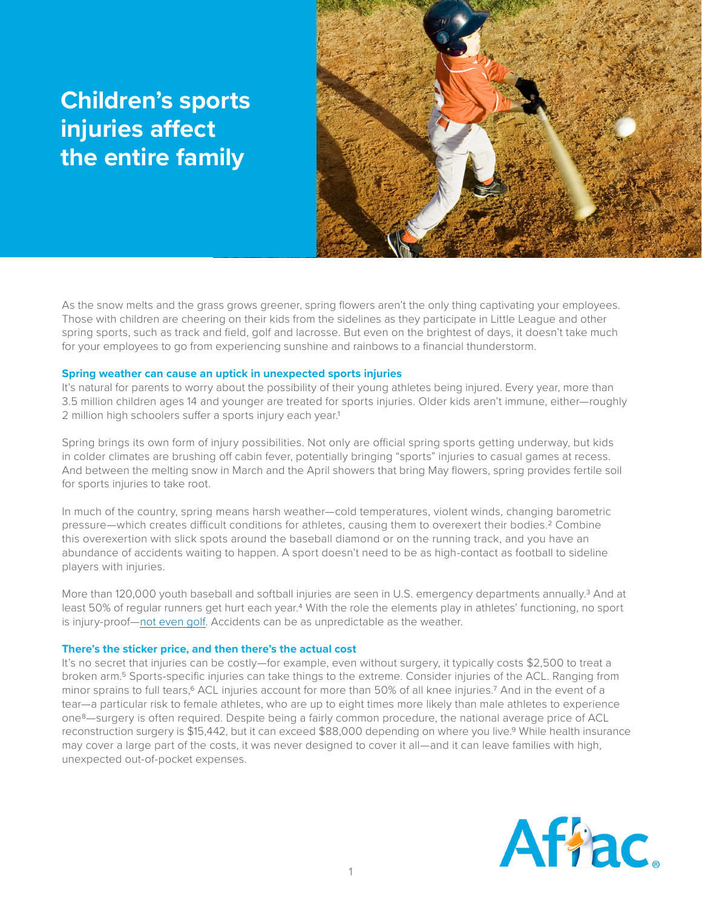# **Children's sports injuries affect the entire family**



As the snow melts and the grass grows greener, spring flowers aren't the only thing captivating your employees. Those with children are cheering on their kids from the sidelines as they participate in Little League and other spring sports, such as track and field, golf and lacrosse. But even on the brightest of days, it doesn't take much for your employees to go from experiencing sunshine and rainbows to a financial thunderstorm.

## **Spring weather can cause an uptick in unexpected sports injuries**

It's natural for parents to worry about the possibility of their young athletes being injured. Every year, more than 3.5 million children ages 14 and younger are treated for sports injuries. Older kids aren't immune, either—roughly 2 million high schoolers suffer a sports injury each year.<sup>1</sup>

Spring brings its own form of injury possibilities. Not only are official spring sports getting underway, but kids in colder climates are brushing off cabin fever, potentially bringing "sports" injuries to casual games at recess. And between the melting snow in March and the April showers that bring May flowers, spring provides fertile soil for sports injuries to take root.

In much of the country, spring means harsh weather—cold temperatures, violent winds, changing barometric pressure—which creates difficult conditions for athletes, causing them to overexert their bodies.2 Combine this overexertion with slick spots around the baseball diamond or on the running track, and you have an abundance of accidents waiting to happen. A sport doesn't need to be as high-contact as football to sideline players with injuries.

More than 120,000 youth baseball and softball injuries are seen in U.S. emergency departments annually.<sup>3</sup> And at least 50% of regular runners get hurt each year.4 With the role the elements play in athletes' functioning, no sport is injury-proof—[not even golf](https://simonmoyes.com/magazine/sports-medicine/the-common-golf-injuries/). Accidents can be as unpredictable as the weather.

### **There's the sticker price, and then there's the actual cost**

It's no secret that injuries can be costly—for example, even without surgery, it typically costs \$2,500 to treat a broken arm.5 Sports-specific injuries can take things to the extreme. Consider injuries of the ACL. Ranging from minor sprains to full tears,<sup>6</sup> ACL injuries account for more than 50% of all knee injuries.<sup>7</sup> And in the event of a tear—a particular risk to female athletes, who are up to eight times more likely than male athletes to experience one8—surgery is often required. Despite being a fairly common procedure, the national average price of ACL reconstruction surgery is \$15,442, but it can exceed \$88,000 depending on where you live.9 While health insurance may cover a large part of the costs, it was never designed to cover it all—and it can leave families with high, unexpected out-of-pocket expenses.